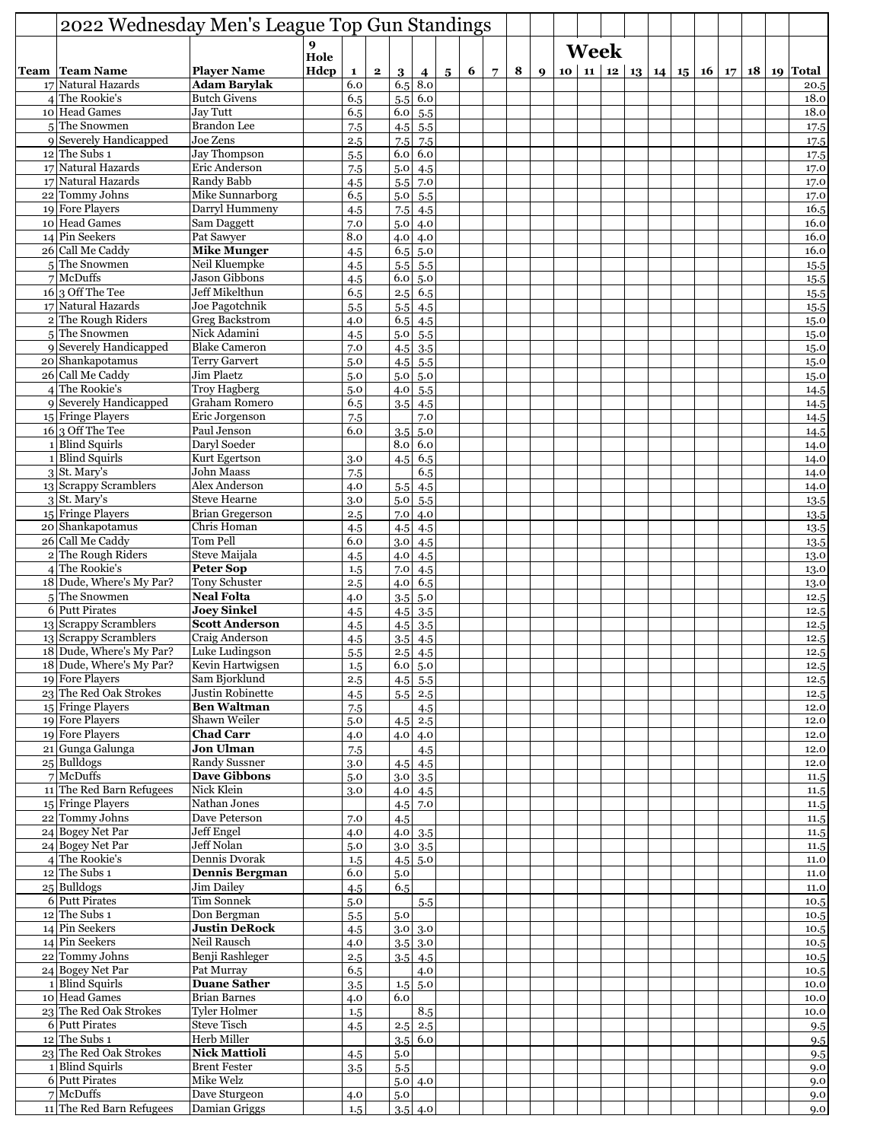| 2022 Wednesday Men's League Top Gun Standings |                                        |              |              |              |                  |                                   |                |   |                |   |                  |  |  |  |  |  |                                                         |
|-----------------------------------------------|----------------------------------------|--------------|--------------|--------------|------------------|-----------------------------------|----------------|---|----------------|---|------------------|--|--|--|--|--|---------------------------------------------------------|
|                                               | 9                                      |              |              |              | Week             |                                   |                |   |                |   |                  |  |  |  |  |  |                                                         |
| Team   Team Name                              | <b>Player Name</b>                     | Hole<br>Hdcp | $\mathbf{1}$ | $\mathbf{2}$ |                  |                                   |                | 6 |                | 8 | $\boldsymbol{Q}$ |  |  |  |  |  | 10   11   12   13   14   15   16   17   18   19   Total |
| 17 Natural Hazards                            | <b>Adam Barvlak</b>                    |              | 6.0          |              | 3<br>6.5         | 4<br>8.0                          | 5 <sup>5</sup> |   | $\overline{7}$ |   |                  |  |  |  |  |  | 20.5                                                    |
| 4 The Rookie's                                | <b>Butch Givens</b>                    |              | 6.5          |              | 5.5              | 6.0                               |                |   |                |   |                  |  |  |  |  |  | 18.0                                                    |
| 10 Head Games                                 | <b>Jay Tutt</b>                        |              | 6.5          |              | 6.0              | 5.5                               |                |   |                |   |                  |  |  |  |  |  | 18.0                                                    |
| 5The Snowmen                                  | <b>Brandon</b> Lee                     |              | 7.5          |              | 4.5              | 5.5                               |                |   |                |   |                  |  |  |  |  |  | 17.5                                                    |
| 9 Severely Handicapped<br>$12$ The Subs 1     | Joe Zens<br>Jay Thompson               |              | 2.5          |              | 7.5<br>6.0       | 7.5<br>6.0                        |                |   |                |   |                  |  |  |  |  |  | 17.5                                                    |
| 17 Natural Hazards                            | Eric Anderson                          |              | 5.5<br>7.5   |              | 5.0              | 4.5                               |                |   |                |   |                  |  |  |  |  |  | 17.5<br>17.0                                            |
| 17 Natural Hazards                            | Randy Babb                             |              | 4.5          |              | 5.5              | 7.0                               |                |   |                |   |                  |  |  |  |  |  | 17.0                                                    |
| 22 Tommy Johns                                | Mike Sunnarborg                        |              | 6.5          |              | 5.0              | 5.5                               |                |   |                |   |                  |  |  |  |  |  | 17.0                                                    |
| 19 Fore Players                               | Darryl Hummeny                         |              | 4.5          |              | $7.5\,$          | 4.5                               |                |   |                |   |                  |  |  |  |  |  | 16.5                                                    |
| 10 Head Games                                 | <b>Sam Daggett</b>                     |              | 7.0          |              | 5.0              | 4.0                               |                |   |                |   |                  |  |  |  |  |  | 16.0                                                    |
| 14 Pin Seekers<br>26 Call Me Caddy            | Pat Sawyer<br><b>Mike Munger</b>       |              | 8.0          |              | 4.0<br>6.5       | 4.0<br>5.0                        |                |   |                |   |                  |  |  |  |  |  | 16.0<br>16.0                                            |
| 5 The Snowmen                                 | Neil Kluempke                          |              | 4.5<br>4.5   |              | 5.5              | 5.5                               |                |   |                |   |                  |  |  |  |  |  | 15.5                                                    |
| $7$ McDuffs                                   | <b>Jason Gibbons</b>                   |              | 4.5          |              | 6.0              | 5.0                               |                |   |                |   |                  |  |  |  |  |  | 15.5                                                    |
| $16 \vert 3$ Off The Tee                      | Jeff Mikelthun                         |              | 6.5          |              | 2.5              | 6.5                               |                |   |                |   |                  |  |  |  |  |  | 15.5                                                    |
| 17 Natural Hazards                            | Joe Pagotchnik                         |              | 5.5          |              | 5.5              | 4.5                               |                |   |                |   |                  |  |  |  |  |  | 15.5                                                    |
| 2 The Rough Riders                            | <b>Greg Backstrom</b>                  |              | 4.0          |              | 6.5              | 4.5                               |                |   |                |   |                  |  |  |  |  |  | 15.0                                                    |
| 5 The Snowmen                                 | Nick Adamini                           |              | 4.5          |              | 5.0              | 5.5                               |                |   |                |   |                  |  |  |  |  |  | 15.0                                                    |
| 9 Severely Handicapped<br>20 Shankapotamus    | <b>Blake Cameron</b><br>Terry Garvert  |              | 7.0<br>5.0   |              | 4.5<br>4.5       | 3.5<br>5.5                        |                |   |                |   |                  |  |  |  |  |  | 15.0<br>15.0                                            |
| 26 Call Me Caddy                              | Jim Plaetz                             |              | 5.0          |              | 5.0              | 5.0                               |                |   |                |   |                  |  |  |  |  |  | 15.0                                                    |
| 4 The Rookie's                                | <b>Troy Hagberg</b>                    |              | 5.0          |              | 4.0              | 5.5                               |                |   |                |   |                  |  |  |  |  |  | 14.5                                                    |
| 9 Severely Handicapped                        | Graham Romero                          |              | 6.5          |              | 3.5              | 4.5                               |                |   |                |   |                  |  |  |  |  |  | 14.5                                                    |
| 15 Fringe Players                             | Eric Jorgenson                         |              | 7.5          |              |                  | 7.0                               |                |   |                |   |                  |  |  |  |  |  | 14.5                                                    |
| $16 3$ Off The Tee                            | Paul Jenson                            |              | 6.0          |              | 3.5              | 5.0                               |                |   |                |   |                  |  |  |  |  |  | 14.5                                                    |
| 1 Blind Squirls                               | Daryl Soeder                           |              |              |              | 8.0              | 6.0                               |                |   |                |   |                  |  |  |  |  |  | 14.0                                                    |
| 1 Blind Squirls                               | Kurt Egertson                          |              | 3.0          |              | 4.5              | 6.5                               |                |   |                |   |                  |  |  |  |  |  | 14.0                                                    |
| $3$ St. Mary's<br>13 Scrappy Scramblers       | John Maass<br>Alex Anderson            |              | 7.5<br>4.0   |              | 5.5              | 6.5<br>4.5                        |                |   |                |   |                  |  |  |  |  |  | 14.0<br>14.0                                            |
| $3$ St. Mary's                                | <b>Steve Hearne</b>                    |              | 3.0          |              | 5.0              | 5.5                               |                |   |                |   |                  |  |  |  |  |  | 13.5                                                    |
| 15 Fringe Players                             | <b>Brian Gregerson</b>                 |              | 2.5          |              | 7.0              | 4.0                               |                |   |                |   |                  |  |  |  |  |  | 13.5                                                    |
| 20 Shankapotamus                              | Chris Homan                            |              | 4.5          |              | 4.5              | 4.5                               |                |   |                |   |                  |  |  |  |  |  | 13.5                                                    |
| 26 Call Me Caddy                              | Tom Pell                               |              | 6.0          |              | 3.0              | 4.5                               |                |   |                |   |                  |  |  |  |  |  | 13.5                                                    |
| 2 The Rough Riders                            | Steve Maijala                          |              | 4.5          |              | 4.0              | 4.5                               |                |   |                |   |                  |  |  |  |  |  | 13.0                                                    |
| $4$ The Rookie's                              | <b>Peter Sop</b>                       |              | 1.5          |              | 7.0              | 4.5                               |                |   |                |   |                  |  |  |  |  |  | 13.0                                                    |
| 18 Dude, Where's My Par?<br>5 The Snowmen     | Tony Schuster<br><b>Neal Folta</b>     |              | 2.5<br>4.0   |              | 4.0              | 6.5<br>5.0                        |                |   |                |   |                  |  |  |  |  |  | 13.0                                                    |
| 6 Putt Pirates                                | <b>Joey Sinkel</b>                     |              | 4.5          |              | 3.5<br>4.5       | 3.5                               |                |   |                |   |                  |  |  |  |  |  | 12.5<br>12.5                                            |
| 13 Scrappy Scramblers                         | <b>Scott Anderson</b>                  |              | 4.5          |              | 4.5              | 3.5                               |                |   |                |   |                  |  |  |  |  |  | 12.5                                                    |
| 13 Scrappy Scramblers                         | Craig Anderson                         |              | 4.5          |              | 3.5              | 4.5                               |                |   |                |   |                  |  |  |  |  |  | 12.5                                                    |
| 18 Dude, Where's My Par?                      | Luke Ludingson                         |              | 5.5          |              |                  | $2.5$ 4.5                         |                |   |                |   |                  |  |  |  |  |  | 12.5                                                    |
| 18 Dude, Where's My Par?                      | Kevin Hartwigsen                       |              | 1.5          |              |                  | 6.0 5.0                           |                |   |                |   |                  |  |  |  |  |  | 12.5                                                    |
| 19 Fore Players                               | Sam Bjorklund                          |              | 2.5          |              | 4.5              | 5.5                               |                |   |                |   |                  |  |  |  |  |  | 12.5                                                    |
| 23 The Red Oak Strokes<br>15 Fringe Players   | Justin Robinette<br><b>Ben Waltman</b> |              | 4.5          |              |                  | $5.5$ 2.5                         |                |   |                |   |                  |  |  |  |  |  | 12.5                                                    |
| 19 Fore Players                               | Shawn Weiler                           |              | 7.5<br>5.0   |              |                  | 4.5<br>$4.5 \,   \, 2.5$          |                |   |                |   |                  |  |  |  |  |  | 12.0<br>12.0                                            |
| 19 Fore Players                               | <b>Chad Carr</b>                       |              | 4.0          |              |                  | 4.0   4.0                         |                |   |                |   |                  |  |  |  |  |  | 12.0                                                    |
| 21 Gunga Galunga                              | <b>Jon Ulman</b>                       |              | 7.5          |              |                  | 4.5                               |                |   |                |   |                  |  |  |  |  |  | 12.0                                                    |
| 25 Bulldogs                                   | Randy Sussner                          |              | 3.0          |              |                  | $4.5$ 4.5                         |                |   |                |   |                  |  |  |  |  |  | 12.0                                                    |
| $7$ McDuffs                                   | <b>Dave Gibbons</b>                    |              | 5.0          |              |                  | $3.0 \,   \, 3.5$                 |                |   |                |   |                  |  |  |  |  |  | 11.5                                                    |
| 11 The Red Barn Refugees                      | Nick Klein                             |              | 3.0          |              |                  | $4.0 \, 4.5$                      |                |   |                |   |                  |  |  |  |  |  | 11.5                                                    |
| 15 Fringe Players                             | Nathan Jones<br>Dave Peterson          |              |              |              |                  | $4.5$ 7.0                         |                |   |                |   |                  |  |  |  |  |  | 11.5                                                    |
| 22 Tommy Johns<br>24 Bogey Net Par            | Jeff Engel                             |              | 7.0<br>4.0   |              | 4.5              | $4.0 \,   \, 3.5$                 |                |   |                |   |                  |  |  |  |  |  | 11.5<br>11.5                                            |
| 24 Bogey Net Par                              | Jeff Nolan                             |              | 5.0          |              | 3.0 <sub>l</sub> | 3.5                               |                |   |                |   |                  |  |  |  |  |  | 11.5                                                    |
| $4$ The Rookie's                              | Dennis Dvorak                          |              | 1.5          |              |                  | $4.5$ 5.0                         |                |   |                |   |                  |  |  |  |  |  | 11.0                                                    |
| $12$ The Subs 1                               | <b>Dennis Bergman</b>                  |              | 6.0          |              | 5.0              |                                   |                |   |                |   |                  |  |  |  |  |  | 11.0                                                    |
| $25$ Bulldogs                                 | Jim Dailey                             |              | 4.5          |              | 6.5              |                                   |                |   |                |   |                  |  |  |  |  |  | 11.0                                                    |
| 6 Putt Pirates                                | Tim Sonnek                             |              | 5.0          |              |                  | 5.5                               |                |   |                |   |                  |  |  |  |  |  | 10.5                                                    |
| $12$ The Subs 1<br>14 Pin Seekers             | Don Bergman<br><b>Justin DeRock</b>    |              | 5.5          |              | 5.0              |                                   |                |   |                |   |                  |  |  |  |  |  | 10.5                                                    |
| 14 Pin Seekers                                | Neil Rausch                            |              | 4.5<br>4.0   |              |                  | $3.0 \,   \, 3.0 \,$<br>$3.5$ 3.0 |                |   |                |   |                  |  |  |  |  |  | 10.5<br>10.5                                            |
| 22 Tommy Johns                                | Benji Rashleger                        |              | 2.5          |              |                  | $3.5$ 4.5                         |                |   |                |   |                  |  |  |  |  |  | 10.5                                                    |
| 24 Bogey Net Par                              | Pat Murray                             |              | 6.5          |              |                  | 4.0                               |                |   |                |   |                  |  |  |  |  |  | 10.5                                                    |
| 1 Blind Squirls                               | <b>Duane Sather</b>                    |              | 3.5          |              |                  | $1.5 \, 5.0$                      |                |   |                |   |                  |  |  |  |  |  | 10.0                                                    |
| 10 Head Games                                 | <b>Brian Barnes</b>                    |              | 4.0          |              | 6.0              |                                   |                |   |                |   |                  |  |  |  |  |  | 10.0                                                    |
| 23 The Red Oak Strokes                        | Tyler Holmer                           |              | 1.5          |              |                  | 8.5                               |                |   |                |   |                  |  |  |  |  |  | 10.0                                                    |
| 6 Putt Pirates                                | <b>Steve Tisch</b><br>Herb Miller      |              | 4.5          |              | 2.5              | 2.5                               |                |   |                |   |                  |  |  |  |  |  | 9.5                                                     |
| $12$ The Subs 1<br>23 The Red Oak Strokes     | <b>Nick Mattioli</b>                   |              | 4.5          |              | 5.0              | 3.5   6.0                         |                |   |                |   |                  |  |  |  |  |  | 9.5<br>9.5                                              |
| 1 Blind Squirls                               | <b>Brent Fester</b>                    |              | 3.5          |              | 5.5              |                                   |                |   |                |   |                  |  |  |  |  |  | 9.0                                                     |
| 6 Putt Pirates                                | Mike Welz                              |              |              |              |                  | 5.0   4.0                         |                |   |                |   |                  |  |  |  |  |  | 9.0                                                     |
| $7$ McDuffs                                   | Dave Sturgeon                          |              | 4.0          |              | 5.0              |                                   |                |   |                |   |                  |  |  |  |  |  | 9.0                                                     |
| 11 The Red Barn Refugees                      | Damian Griggs                          |              | 1.5          |              |                  | $3.5 \,   \, 4.0 \,  $            |                |   |                |   |                  |  |  |  |  |  | 9.0                                                     |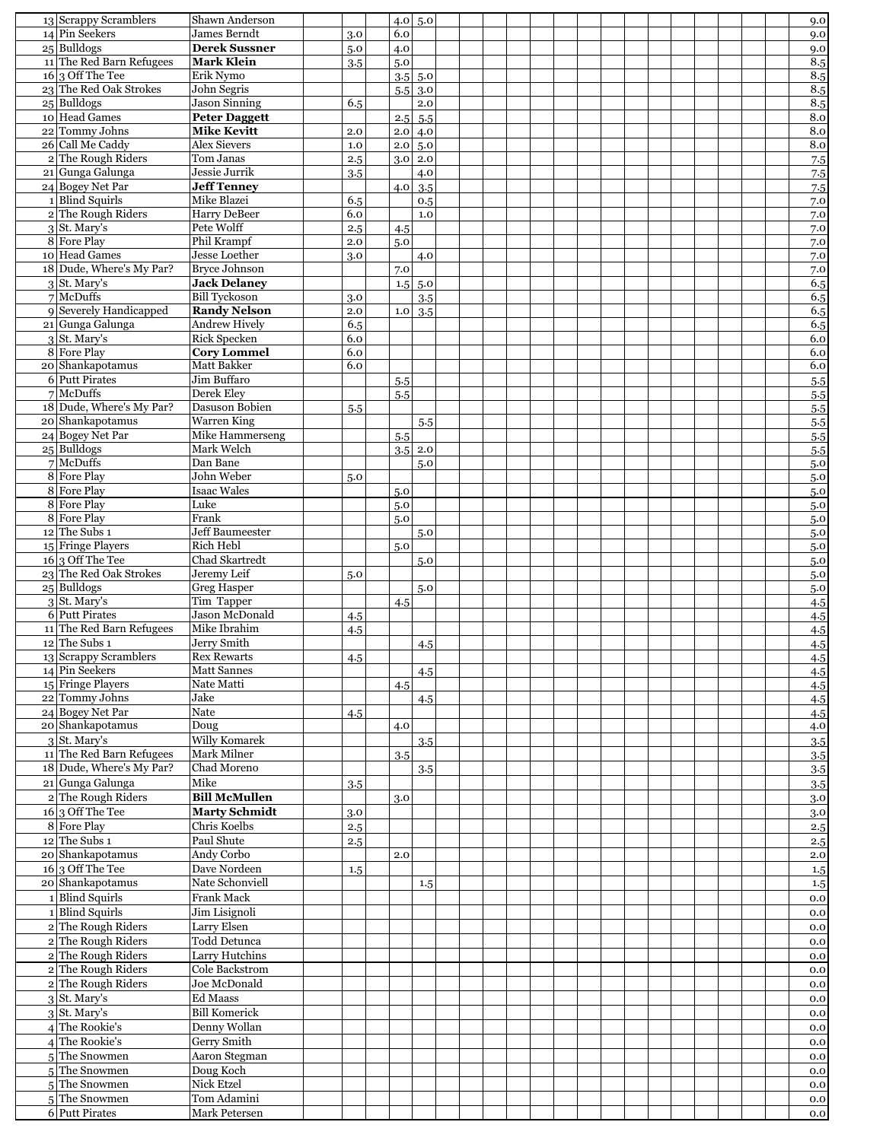| 13 Scrappy Scramblers                                | Shawn Anderson                    |            |            | 4.0 5.0           |  |  |  |  |  |  | 9.0        |
|------------------------------------------------------|-----------------------------------|------------|------------|-------------------|--|--|--|--|--|--|------------|
| 14 Pin Seekers                                       | James Berndt                      | 3.0        | 6.0        |                   |  |  |  |  |  |  | 9.0        |
| $25$ Bulldogs                                        | <b>Derek Sussner</b>              | 5.0        | 4.0        |                   |  |  |  |  |  |  | 9.0        |
| 11 The Red Barn Refugees<br>$16 \vert 3$ Off The Tee | <b>Mark Klein</b><br>Erik Nymo    | 3.5        | 5.0        | $3.5$ 5.0         |  |  |  |  |  |  | 8.5<br>8.5 |
| 23 The Red Oak Strokes                               | John Segris                       |            |            | $5.5 \,   \, 3.0$ |  |  |  |  |  |  | 8.5        |
| $25$ Bulldogs                                        | <b>Jason Sinning</b>              | 6.5        |            | 2.0               |  |  |  |  |  |  | 8.5        |
| 10 Head Games                                        | <b>Peter Daggett</b>              |            | 2.5        | 5.5               |  |  |  |  |  |  | 8.0        |
| 22 Tommy Johns                                       | <b>Mike Kevitt</b>                | 2.0        | 2.0        | 4.0               |  |  |  |  |  |  | 8.0        |
| 26 Call Me Caddy                                     | <b>Alex Sievers</b>               | 1.0        |            | $2.0 \,   \, 5.0$ |  |  |  |  |  |  | $8.0\,$    |
| 2 The Rough Riders                                   | Tom Janas                         | 2.5        |            | $3.0$ 2.0         |  |  |  |  |  |  | 7.5        |
| 21 Gunga Galunga                                     | Jessie Jurrik                     | 3.5        |            | 4.0               |  |  |  |  |  |  | 7.5        |
| 24 Bogey Net Par                                     | <b>Jeff Tenney</b>                |            | 4.0        | 3.5               |  |  |  |  |  |  | 7.5        |
| 1 Blind Squirls                                      | Mike Blazei                       | 6.5        |            | 0.5               |  |  |  |  |  |  | 7.0        |
| 2 The Rough Riders                                   | <b>Harry DeBeer</b><br>Pete Wolff | 6.0        |            | 1.0               |  |  |  |  |  |  | 7.0        |
| $3$ St. Mary's<br>8 Fore Play                        | Phil Krampf                       | 2.5<br>2.0 | 4.5<br>5.0 |                   |  |  |  |  |  |  | 7.0<br>7.0 |
| 10 Head Games                                        | Jesse Loether                     | 3.0        |            | 4.0               |  |  |  |  |  |  | 7.0        |
| 18 Dude, Where's My Par?                             | <b>Bryce Johnson</b>              |            | 7.0        |                   |  |  |  |  |  |  | 7.0        |
| $3$ St. Mary's                                       | <b>Jack Delaney</b>               |            |            | $1.5 \,   \, 5.0$ |  |  |  |  |  |  | 6.5        |
| $7$ McDuffs                                          | <b>Bill Tyckoson</b>              | 3.0        |            | 3.5               |  |  |  |  |  |  | 6.5        |
| 9 Severely Handicapped                               | <b>Randy Nelson</b>               | 2.0        | $1.0\,$    | 3.5               |  |  |  |  |  |  | 6.5        |
| 21 Gunga Galunga                                     | <b>Andrew Hively</b>              | 6.5        |            |                   |  |  |  |  |  |  | 6.5        |
| $3$ St. Mary's                                       | <b>Rick Specken</b>               | 6.0        |            |                   |  |  |  |  |  |  | 6.0        |
| 8 Fore Play                                          | <b>Cory Lommel</b>                | 6.0        |            |                   |  |  |  |  |  |  | 6.0        |
| 20 Shankapotamus                                     | Matt Bakker                       | 6.0        |            |                   |  |  |  |  |  |  | 6.0        |
| 6 Putt Pirates<br>$7$ McDuffs                        | Jim Buffaro<br>Derek Elev         |            | 5.5        |                   |  |  |  |  |  |  | 5.5        |
| 18 Dude, Where's My Par?                             | Dasuson Bobien                    | 5.5        | 5.5        |                   |  |  |  |  |  |  | 5.5<br>5.5 |
| 20 Shankapotamus                                     | <b>Warren</b> King                |            |            | 5.5               |  |  |  |  |  |  | 5.5        |
| 24 Bogey Net Par                                     | Mike Hammerseng                   |            | 5.5        |                   |  |  |  |  |  |  | 5.5        |
| 25 Bulldogs                                          | Mark Welch                        |            |            | $3.5$ 2.0         |  |  |  |  |  |  | 5.5        |
| $7$ McDuffs                                          | Dan Bane                          |            |            | 5.0               |  |  |  |  |  |  | 5.0        |
| 8 Fore Play                                          | John Weber                        | 5.0        |            |                   |  |  |  |  |  |  | 5.0        |
| 8 Fore Play                                          | <b>Isaac Wales</b>                |            | 5.0        |                   |  |  |  |  |  |  | 5.0        |
| 8 Fore Play                                          | Luke                              |            | 5.0        |                   |  |  |  |  |  |  | 5.0        |
| 8 Fore Play                                          | Frank                             |            | 5.0        |                   |  |  |  |  |  |  | 5.0        |
| $12$ The Subs 1                                      | <b>Jeff Baumeester</b>            |            |            | 5.0               |  |  |  |  |  |  | 5.0        |
| 15 Fringe Players<br>16 3 Off The Tee                | Rich Hebl<br>Chad Skartredt       |            | 5.0        | 5.0               |  |  |  |  |  |  | 5.0        |
| 23 The Red Oak Strokes                               | Jeremy Leif                       | 5.0        |            |                   |  |  |  |  |  |  | 5.0<br>5.0 |
| $25$ Bulldogs                                        | <b>Greg Hasper</b>                |            |            | 5.0               |  |  |  |  |  |  | 5.0        |
| $3$ St. Mary's                                       | Tim Tapper                        |            | 4.5        |                   |  |  |  |  |  |  | 4.5        |
| 6 Putt Pirates                                       | Jason McDonald                    | 4.5        |            |                   |  |  |  |  |  |  | 4.5        |
| 11 The Red Barn Refugees                             | Mike Ibrahim                      | 4.5        |            |                   |  |  |  |  |  |  | 4.5        |
| $12$ The Subs 1                                      | Jerry Smith                       |            |            | 4.5               |  |  |  |  |  |  | 4.5        |
| 13 Scrappy Scramblers                                | <b>Rex Rewarts</b>                | 4.5        |            |                   |  |  |  |  |  |  | 4.5        |
| $14$ Pin Seekers                                     | <b>Matt Sannes</b>                |            |            | 4.5               |  |  |  |  |  |  | 4.5        |
| 15 Fringe Players                                    | Nate Matti                        |            | 4.5        |                   |  |  |  |  |  |  | 4.5        |
| 22 Tommy Johns                                       | Jake                              |            |            | 4.5               |  |  |  |  |  |  | 4.5        |
| 24 Bogey Net Par<br>20 Shankapotamus                 | Nate<br>Doug                      | 4.5        | 4.0        |                   |  |  |  |  |  |  | 4.5        |
| $3$ St. Mary's                                       | Willy Komarek                     |            |            | 3.5               |  |  |  |  |  |  | 4.0<br>3.5 |
| 11 The Red Barn Refugees                             | Mark Milner                       |            | 3.5        |                   |  |  |  |  |  |  | 3.5        |
| 18 Dude, Where's My Par?                             | Chad Moreno                       |            |            | 3.5               |  |  |  |  |  |  | 3.5        |
| 21 Gunga Galunga                                     | Mike                              | 3.5        |            |                   |  |  |  |  |  |  | 3.5        |
| 2 The Rough Riders                                   | <b>Bill McMullen</b>              |            | 3.0        |                   |  |  |  |  |  |  | 3.0        |
| $16 3$ Off The Tee                                   | <b>Marty Schmidt</b>              | 3.0        |            |                   |  |  |  |  |  |  | 3.0        |
| 8 Fore Play                                          | Chris Koelbs                      | 2.5        |            |                   |  |  |  |  |  |  | 2.5        |
| $12$ The Subs 1                                      | Paul Shute                        | 2.5        |            |                   |  |  |  |  |  |  | 2.5        |
| 20 Shankapotamus                                     | Andy Corbo                        |            | 2.0        |                   |  |  |  |  |  |  | 2.0        |
| $16 \mid 3$ Off The Tee                              | Dave Nordeen                      | 1.5        |            |                   |  |  |  |  |  |  | 1.5        |
| 20 Shankapotamus                                     | Nate Schonviell                   |            |            | 1.5               |  |  |  |  |  |  | 1.5        |
| 1 Blind Squirls                                      | Frank Mack                        |            |            |                   |  |  |  |  |  |  | 0.0        |
| 1 Blind Squirls                                      | Jim Lisignoli                     |            |            |                   |  |  |  |  |  |  | 0.0        |
| 2 The Rough Riders                                   | Larry Elsen                       |            |            |                   |  |  |  |  |  |  | 0.0        |
| 2 The Rough Riders                                   | Todd Detunca                      |            |            |                   |  |  |  |  |  |  | 0.0        |
| 2 The Rough Riders<br>2 The Rough Riders             | Larry Hutchins<br>Cole Backstrom  |            |            |                   |  |  |  |  |  |  | 0.0        |
| 2 The Rough Riders                                   | Joe McDonald                      |            |            |                   |  |  |  |  |  |  | 0.0        |
| 3 St. Mary's                                         | <b>Ed Maass</b>                   |            |            |                   |  |  |  |  |  |  | 0.0<br>0.0 |
| $3$ St. Mary's                                       | <b>Bill Komerick</b>              |            |            |                   |  |  |  |  |  |  | 0.0        |
| 4 The Rookie's                                       | Denny Wollan                      |            |            |                   |  |  |  |  |  |  | 0.0        |
| The Rookie's                                         | Gerry Smith                       |            |            |                   |  |  |  |  |  |  | 0.0        |
| 5The Snowmen                                         | Aaron Stegman                     |            |            |                   |  |  |  |  |  |  | 0.0        |
| $5$ The Snowmen                                      | Doug Koch                         |            |            |                   |  |  |  |  |  |  | 0.0        |
| 5The Snowmen                                         | <b>Nick Etzel</b>                 |            |            |                   |  |  |  |  |  |  | 0.0        |
| 5The Snowmen                                         | Tom Adamini                       |            |            |                   |  |  |  |  |  |  | 0.0        |
| 6 Putt Pirates                                       | Mark Petersen                     |            |            |                   |  |  |  |  |  |  | 0.0        |